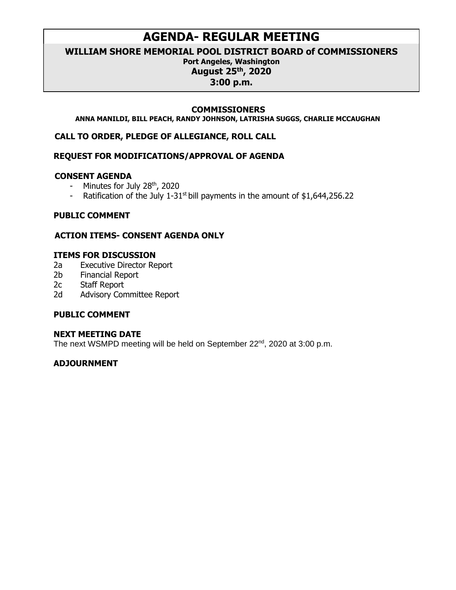# **AGENDA- REGULAR MEETING**

**WILLIAM SHORE MEMORIAL POOL DISTRICT BOARD of COMMISSIONERS**

## **Port Angeles, Washington August 25 th, 2020**

## **3:00 p.m.**

#### **COMMISSIONERS**

**ANNA MANILDI, BILL PEACH, RANDY JOHNSON, LATRISHA SUGGS, CHARLIE MCCAUGHAN**

**CALL TO ORDER, PLEDGE OF ALLEGIANCE, ROLL CALL**

#### **REQUEST FOR MODIFICATIONS/APPROVAL OF AGENDA**

#### **CONSENT AGENDA**

- Minutes for July  $28<sup>th</sup>$ , 2020
- Ratification of the July 1-31<sup>st</sup> bill payments in the amount of  $$1,644,256.22$

## **PUBLIC COMMENT**

## **ACTION ITEMS- CONSENT AGENDA ONLY**

## **ITEMS FOR DISCUSSION**

- 2a Executive Director Report
- 2b Financial Report
- 2c Staff Report
- 2d Advisory Committee Report

## **PUBLIC COMMENT**

#### **NEXT MEETING DATE**

The next WSMPD meeting will be held on September 22<sup>nd</sup>, 2020 at 3:00 p.m.

## **ADJOURNMENT**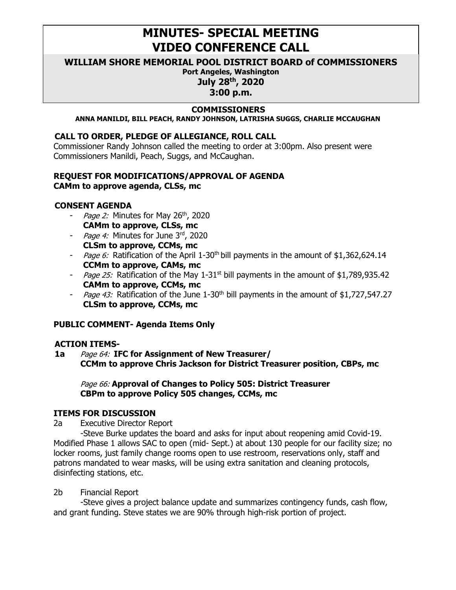# **MINUTES- SPECIAL MEETING VIDEO CONFERENCE CALL**

#### **WILLIAM SHORE MEMORIAL POOL DISTRICT BOARD of COMMISSIONERS**

**Port Angeles, Washington July 28 th, 2020**

**3:00 p.m.**

#### **COMMISSIONERS**

**ANNA MANILDI, BILL PEACH, RANDY JOHNSON, LATRISHA SUGGS, CHARLIE MCCAUGHAN**

#### **CALL TO ORDER, PLEDGE OF ALLEGIANCE, ROLL CALL**

Commissioner Randy Johnson called the meeting to order at 3:00pm. Also present were Commissioners Manildi, Peach, Suggs, and McCaughan.

#### **REQUEST FOR MODIFICATIONS/APPROVAL OF AGENDA CAMm to approve agenda, CLSs, mc**

#### **CONSENT AGENDA**

- Page 2: Minutes for May 26<sup>th</sup>, 2020 **CAMm to approve, CLSs, mc**
- Page 4: Minutes for June 3rd, 2020 **CLSm to approve, CCMs, mc**
- Page 6: Ratification of the April 1-30<sup>th</sup> bill payments in the amount of \$1,362,624.14 **CCMm to approve, CAMs, mc**
- Page 25: Ratification of the May 1-31<sup>st</sup> bill payments in the amount of \$1,789,935.42 **CAMm to approve, CCMs, mc**
- Page 43: Ratification of the June 1-30<sup>th</sup> bill payments in the amount of \$1,727,547.27 **CLSm to approve, CCMs, mc**

## **PUBLIC COMMENT- Agenda Items Only**

#### **ACTION ITEMS-**

**1a** Page 64: **IFC for Assignment of New Treasurer/ CCMm to approve Chris Jackson for District Treasurer position, CBPs, mc**

Page 66: **Approval of Changes to Policy 505: District Treasurer CBPm to approve Policy 505 changes, CCMs, mc**

#### **ITEMS FOR DISCUSSION**

2a Executive Director Report

-Steve Burke updates the board and asks for input about reopening amid Covid-19. Modified Phase 1 allows SAC to open (mid- Sept.) at about 130 people for our facility size; no locker rooms, just family change rooms open to use restroom, reservations only, staff and patrons mandated to wear masks, will be using extra sanitation and cleaning protocols, disinfecting stations, etc.

#### 2b Financial Report

-Steve gives a project balance update and summarizes contingency funds, cash flow, and grant funding. Steve states we are 90% through high-risk portion of project.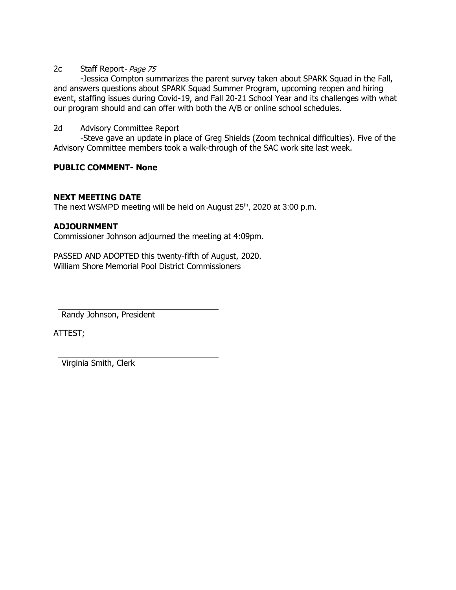#### 2c Staff Report- Page 75

-Jessica Compton summarizes the parent survey taken about SPARK Squad in the Fall, and answers questions about SPARK Squad Summer Program, upcoming reopen and hiring event, staffing issues during Covid-19, and Fall 20-21 School Year and its challenges with what our program should and can offer with both the A/B or online school schedules.

#### 2d Advisory Committee Report

-Steve gave an update in place of Greg Shields (Zoom technical difficulties). Five of the Advisory Committee members took a walk-through of the SAC work site last week.

#### **PUBLIC COMMENT- None**

#### **NEXT MEETING DATE**

The next WSMPD meeting will be held on August 25<sup>th</sup>, 2020 at 3:00 p.m.

#### **ADJOURNMENT**

Commissioner Johnson adjourned the meeting at 4:09pm.

PASSED AND ADOPTED this twenty-fifth of August, 2020. William Shore Memorial Pool District Commissioners

Randy Johnson, President

ATTEST;

Virginia Smith, Clerk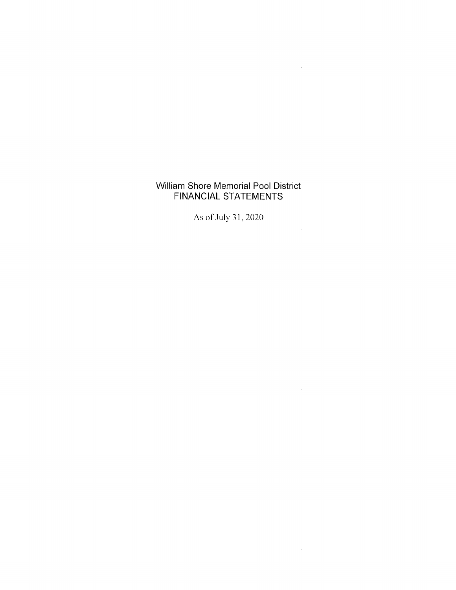## William Shore Memorial Pool District **FINANCIAL STATEMENTS**

 $\mathcal{L}(\mathcal{A})$  and  $\mathcal{L}(\mathcal{A})$  .

 $\mathcal{L}^{\text{max}}_{\text{max}}$ 

 $\label{eq:2.1} \mathcal{L}_{\text{max}} = \mathcal{L}_{\text{max}} + \mathcal{L}_{\text{max}} + \mathcal{L}_{\text{max}}$ 

 $\sim 10^{-11}$ 

As of July 31, 2020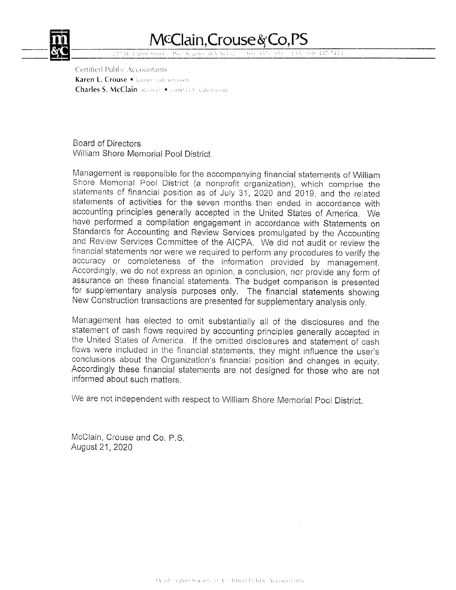

# McClain, Crouse & Co, PS

 ${AV-160-457.7415}$ **Fishin Street** 

Certified Public Accountants Karen L. Crouse . karenc@okoen.com Charles S. McClain Retired: • csm03538 vahoo.com

**Board of Directors** William Shore Memorial Pool District

Management is responsible for the accompanying financial statements of William Shore Memorial Pool District (a nonprofit organization), which comprise the statements of financial position as of July 31, 2020 and 2019, and the related statements of activities for the seven months then ended in accordance with accounting principles generally accepted in the United States of America. We have performed a compilation engagement in accordance with Statements on Standards for Accounting and Review Services promulgated by the Accounting and Review Services Committee of the AICPA. We did not audit or review the financial statements nor were we required to perform any procedures to verify the accuracy or completeness of the information provided by management. Accordingly, we do not express an opinion, a conclusion, nor provide any form of assurance on these financial statements. The budget comparison is presented for supplementary analysis purposes only. The financial statements showing New Construction transactions are presented for supplementary analysis only.

Management has elected to omit substantially all of the disclosures and the statement of cash flows required by accounting principles generally accepted in the United States of America. If the omitted disclosures and statement of cash flows were included in the financial statements, they might influence the user's conclusions about the Organization's financial position and changes in equity. Accordingly these financial statements are not designed for those who are not informed about such matters.

We are not independent with respect to William Shore Memorial Pool District.

McClain, Crouse and Co. P.S. August 21, 2020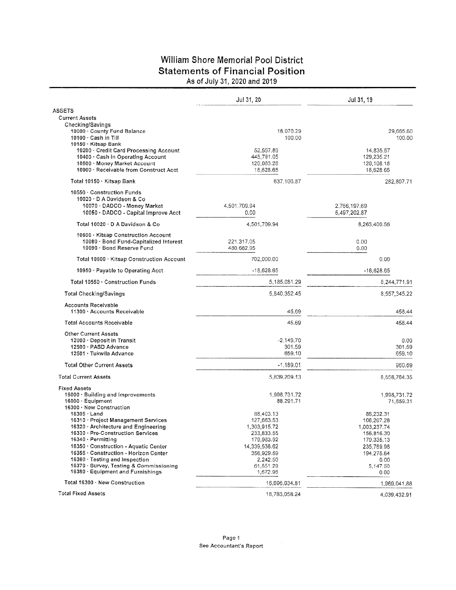## William Shore Memorial Pool District **Statements of Financial Position** As of July 31, 2020 and 2019

|                                                                              | Jul 31, 20              | Jul 31, 19              |
|------------------------------------------------------------------------------|-------------------------|-------------------------|
| ASSETS                                                                       |                         |                         |
| <b>Current Assets</b>                                                        |                         |                         |
| Checking/Savings                                                             |                         |                         |
| 10000 · County Fund Balance                                                  | 18,070.29               | 29,665.60               |
| 10100 Cash in Till                                                           | 100.00                  | 100.00                  |
| 10150 · Kitsap Bank                                                          | 52,597,89               | 14,835.67               |
| 10200 Gredit Card Processing Account<br>10400 · Cash in Operating Account    | 445,791.05              | 129,235.21              |
| 10500 Money Market Account                                                   | 120,083.28              | 120,108.18              |
| 10900 · Receivable from Construct Acct                                       | 18,628.65               | 18,628.65               |
| Total 10150 · Kitsap Bank                                                    | 637,100.87              | 282,807.71              |
| 10550 · Construction Funds                                                   |                         |                         |
| $10020 \cdot D$ A Davidson & Co                                              |                         |                         |
| 10070 - DADCO - Money Market                                                 | 4,501,709.94            | 2,766,197.69            |
| 10050 · DADCO - Capital Improve Acct                                         | 0.00                    | 5,497,202.87            |
| Total 10020 · D A Davidson & Co                                              | 4,501,709.94            | 8,263,400.56            |
|                                                                              |                         |                         |
| 10600 Kitsap Construction Account<br>10080 · Bond Fund-Capitalized Interest  | 221,317.05              | 0.00                    |
| 10090 · Bond Reserve Fund                                                    | 480,682.95              | 0.00                    |
|                                                                              | 702,000.00              | 0.00                    |
| Total 10600 · Kitsap Construction Account                                    |                         |                         |
| 10950 · Payable to Operating Acct                                            | $-18,628.65$            | $-18,628.65$            |
| Total 10550 · Construction Funds                                             | 5,185,081.29            | 8,244,771.91            |
| Total Checking/Savings                                                       | 5,840,352.45            | 8,557,345.22            |
| <b>Accounts Receivable</b><br>11300 · Accounts Receivable                    | 45.69                   | 458.44                  |
| Total Accounts Receivable                                                    | 45.69                   | 458.44                  |
| <b>Other Current Assets</b>                                                  |                         |                         |
| 12000 Deposit in Transit                                                     | $-2,149.70$             | 0.00                    |
| 12500 · PASD Advance                                                         | 301.59                  | 301.59                  |
| 12501 · Tukwila Advance                                                      | 659.10                  | 659.10                  |
| <b>Total Other Current Assets</b>                                            | $-1,189.01$             | 960.69                  |
| <b>Total Current Assets</b>                                                  | 5,839,209.13            | 8,558,764.35            |
| <b>Fixed Assets</b>                                                          |                         |                         |
| 15000 · Building and Improvements                                            | 1,998,731.72            | 1,998,731.72            |
| $16000 \cdot$ Equipment                                                      | 88,291.71               | 71,659.31               |
| 16300 · New Construction                                                     |                         |                         |
| $16305 \cdot$ Land<br>16310 · Project Management Services                    | 88,403.13<br>127,663.53 | 86,232.31<br>108,207.28 |
| 16320 · Architecture and Engineering                                         | 1.303.915.72            | 1,003,237.74            |
| 16330 - Pre-Construction Services                                            | 233,833.55              | 156,816.30              |
| 16340 · Permitting                                                           | 179,983.92              | 179,335.13              |
| 16350 · Construction - Aquatic Center                                        | 14,339,538.62           | 235,789.98              |
| 16355 · Construction - Horizon Center                                        | 356,929.59              | 194,275.64              |
| 16360 · Testing and Inspection                                               | 2.242.50                | 0,00                    |
| 16370 · Survey, Testing & Commissioning<br>16380 · Equipment and Furnishings | 61,851.29<br>1,672.96   | 5,147.50<br>0.00        |
| Total 16300 · New Construction                                               | 16,696,034.81           |                         |
| <b>Total Fixed Assets</b>                                                    |                         | 1,969.041.88            |
|                                                                              | 18,783,058.24           | 4.039,432.91            |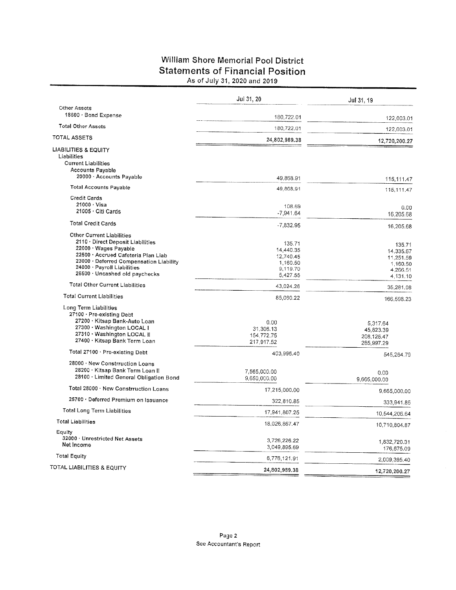## William Shore Memorial Pool District **Statements of Financial Position** As of July 31, 2020 and 2019

|                                                                                                                                                                                                                                                   | Jul 31, 20                                                           | Jul 31, 19                                                           |
|---------------------------------------------------------------------------------------------------------------------------------------------------------------------------------------------------------------------------------------------------|----------------------------------------------------------------------|----------------------------------------------------------------------|
| Other Assets                                                                                                                                                                                                                                      |                                                                      |                                                                      |
| 18600 · Bond Expense                                                                                                                                                                                                                              | 180,722.01                                                           | 122,003.01                                                           |
| <b>Total Other Assets</b>                                                                                                                                                                                                                         | 180,722.01                                                           | 122,003.01                                                           |
| <b>TOTAL ASSETS</b>                                                                                                                                                                                                                               | 24,802,989.38                                                        | 12,720,200.27                                                        |
| <b>LIABILITIES &amp; EQUITY</b><br>Liabilities<br><b>Current Liabilities</b><br><b>Accounts Payable</b><br>20000 · Accounts Payable                                                                                                               | 49,868.91                                                            | 115,111.47                                                           |
| <b>Total Accounts Payable</b>                                                                                                                                                                                                                     | 49,868.91                                                            | 115, 111.47                                                          |
| <b>Credit Cards</b><br>$21000 \cdot V$ isa                                                                                                                                                                                                        | 108.69                                                               | 0.00                                                                 |
| 21005 · Citi Cards                                                                                                                                                                                                                                | $-7,941.64$                                                          | 16,205.68                                                            |
| <b>Total Credit Cards</b>                                                                                                                                                                                                                         | -7,832.95                                                            | 16,205.68                                                            |
| <b>Other Current Liabilities</b><br>2110 · Direct Deposit Liabilities<br>22000 · Wages Payable<br>22500 - Accrued Cafeteria Plan Liab<br>23000 · Deferred Compensation Liability<br>24000 · Payroll Liabilities<br>26500 · Uncashed old paychecks | 135.71<br>14,440.35<br>12,740.45<br>1,160.50<br>9,119.70<br>5,427.55 | 135.71<br>14,335,67<br>11,251.59<br>1,160.50<br>4,266.51<br>4,131.10 |
| <b>Total Other Current Liabilities</b>                                                                                                                                                                                                            | 43,024.26                                                            | 35,281.08                                                            |
| <b>Total Current Liabilities</b>                                                                                                                                                                                                                  | 85,060.22                                                            | 166,598.23                                                           |
| Long Term Liabilities<br>27100 · Pre-existing Debt<br>27200 · Kitsap Bank-Auto Loan<br>27300 · Washington LOCAL I<br>27310 · Washington LOCAL II<br>27400 · Kitsap Bank Term Loan                                                                 | 0.00<br>31,306.13<br>154,772.75<br>217,917.52                        | 5,317.64<br>45,823.39<br>208,126.47<br>285,997.29                    |
| Total 27100 · Pre-existing Debt                                                                                                                                                                                                                   | 403,996.40                                                           | 545,264.79                                                           |
| 28000 · New Constrruction Loans<br>28200 · Kitsap Bank Term Loan II<br>28100 · Limited General Obligation Bond                                                                                                                                    | 7,565,000.00<br>9,650,000.00                                         | 0.00<br>9,665,000.00                                                 |
| Total 28000 · New Constrruction Loans                                                                                                                                                                                                             | 17,215,000.00                                                        | 9,665,000.00                                                         |
| 25700 · Deferred Premium on Issuance                                                                                                                                                                                                              | 322,810.85                                                           | 333,941.85                                                           |
| <b>Total Long Term Liabilities</b>                                                                                                                                                                                                                | 17,941,807.25                                                        | 10,544,206.64                                                        |
| <b>Total Liabilities</b>                                                                                                                                                                                                                          | 18,026,867.47                                                        | 10,710,804.87                                                        |
| Equity<br>32000 · Unrestricted Net Assets<br>Net Income                                                                                                                                                                                           | 3,726,226.22<br>3,049,895.69                                         | 1,832,720.31<br>176,675.09                                           |
| <b>Total Equity</b>                                                                                                                                                                                                                               | 6,776,121.91                                                         | 2,009,395.40                                                         |
| TOTAL LIABILITIES & EQUITY                                                                                                                                                                                                                        | 24,802,989.38                                                        | 12,720,200.27                                                        |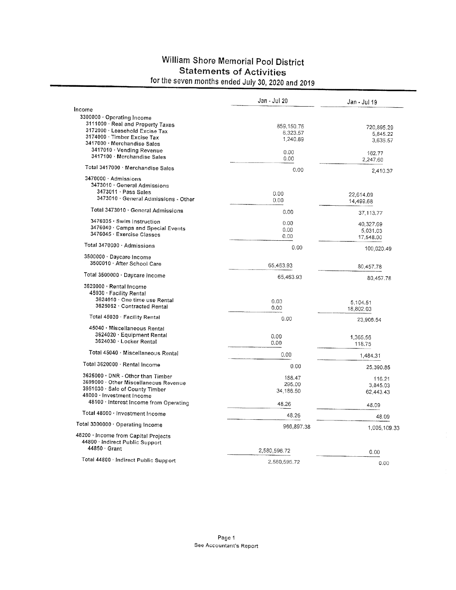## William Shore Memorial Pool District **Statements of Activities** for the seven months ended July 30, 2020 and 2019

|                                                               | Jan - Jul 20     | Jan - Jul 19 |
|---------------------------------------------------------------|------------------|--------------|
| Income                                                        |                  |              |
| 3300000 · Operating Income                                    |                  |              |
| 3111000 · Real and Property Taxes                             | 859,150.76       | 720,895.29   |
| 3172000 · Leasehold Excise Tax<br>3174000 · Timber Excise Tax | 6,323.57         | 5,845.22     |
| 3417000 · Merchandise Sales                                   | 1,240.89         | 3,636.57     |
| 3417010 · Vending Revenue                                     |                  |              |
| 3417100 · Merchandise Sales                                   | 0.00<br>0.00     | 162.77       |
| Total 3417000 · Merchandise Sales                             | 0.00             | 2,247.60     |
| 3470000 Admissions                                            |                  | 2,410.37     |
| 3473010 · General Admissions                                  |                  |              |
| 3473011 Pass Sales                                            |                  |              |
| 3473010 · General Admissions - Other                          | 0.00             | 22,614.09    |
|                                                               | 0.00             | 14,499.68    |
| Total 3473010 · General Admissions                            | 0.00             | 37,113,77    |
| 3476035 · Swim Instruction                                    | 0.00             | 40,327.69    |
| 3476040 · Camps and Special Events                            | 0.00             | 5,031.03     |
| 3476045 · Exercise Classes                                    | 0.00             | 17,548.00    |
| Total 3470000 · Admissions                                    | 0.00             | 100,020.49   |
| 3500000 · Daycare Income                                      |                  |              |
| 3500010 · After School Care                                   | 65,463.93        | 80,457.78    |
| Total 3500000 · Daycare Income                                | 65,463.93        |              |
|                                                               |                  | 80,457.78    |
| 3620000 · Rental Income                                       |                  |              |
| 45030 · Facility Rental<br>3624010 · One time use Rental      |                  |              |
| 3625062 · Contracted Rental                                   | 0.00             | 5,104.51     |
|                                                               | 0.00             | 18,802.03    |
| Total 45030 · Facility Rental                                 | 0.00             | 23,906.54    |
| 45040 · Miscellaneous Rental                                  |                  |              |
| 3624020 · Equipment Rental                                    | 0.00             | 1,365.56     |
| 3624030 · Locker Rental                                       | 0.00             | 118.75       |
| Total 45040 · Miscellaneous Rental                            | 0.00             | 1,484,31     |
| Total 3620000 · Rental Income                                 | 0.00             | 25,390.85    |
| 3625000 · DNR - Other than Timber                             |                  |              |
| 3699000 · Other Miscellaneous Revenue                         | 188.47<br>295.00 | 116.21       |
| 3951030 · Sale of County Timber                               | 34,186.50        | 3,845.03     |
| 48000 · Investment Income                                     |                  | 62,443.43    |
| 48100 · Interest Income from Operating                        | 48.26            | 48.09        |
| Total 48000 · Investment Income                               | 48.26            | 48.09        |
| Total 3300000 · Operating Income                              | 966,897.38       | 1,005,109.33 |
| 48200 · Income from Capital Projects                          |                  |              |
| 44800 · Indirect Public Support<br>$44850 \cdot$ Grant        |                  |              |
|                                                               | 2,580,596.72     | 0.00         |
| Total 44800 · Indirect Public Support                         | 2,580,596.72     | 0.00         |
|                                                               |                  |              |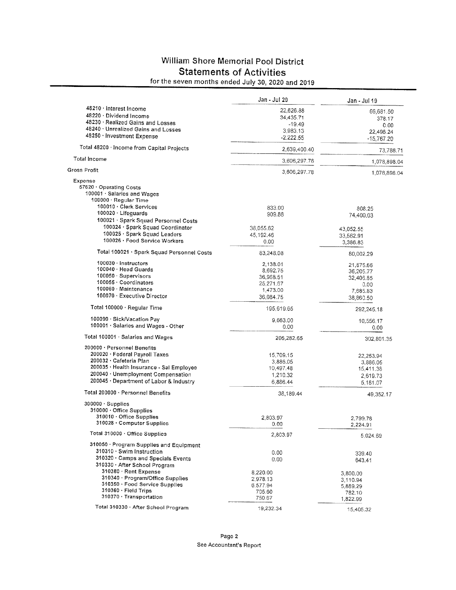## William Shore Memorial Pool District **Statements of Activities**

for the seven months ended July 30, 2020 and 2019

|                                            | Jan - Jul 20 | Jan - Jul 19              |
|--------------------------------------------|--------------|---------------------------|
| 48210 · Interest Income                    | 22,626.88    | 66,681.50                 |
| 48220 · Dividend Income                    | 34,435.71    | 378.17                    |
| 48230 · Realized Gains and Losses          | $-19.49$     | 0.00                      |
| 48240 · Unrealized Gains and Losses        | 3,983.13     |                           |
| 48250 · Investment Expense                 | $-2.222.55$  | 22,496.24<br>$-15,767.20$ |
| Total 48200 · Income from Capital Projects | 2,639,400.40 | 73,788.71                 |
| <b>Total Income</b>                        | 3.606,297.78 | 1,078,898.04              |
| <b>Gross Profit</b>                        | 3,606,297.78 | 1,078,898.04              |
| Expense                                    |              |                           |
| 57620 Operating Costs                      |              |                           |
| 100001 · Salaries and Wages                |              |                           |
| 100000 · Regular Time                      |              |                           |
| 100010 · Clerk Services                    | 833.00       | 808.25                    |
| 100020 · Lifeguards                        | 909.88       | 74,400.03                 |
| 100021 · Spark Squad Personnel Costs       |              |                           |
| 100024 · Spark Squad Coordinator           | 38,055.62    |                           |
| 100025 · Spark Squad Leaders               | 45,192.46    | 43,052.55                 |
| 100026 · Food Service Workers              |              | 33,562.91                 |
|                                            | 0.00         | 3,386.83                  |
| Total 100021 · Spark Squad Personnel Costs | 83,248.08    | 80,002.29                 |
| 100030 - Instructors                       | 2,138.01     | 21,875.66                 |
| 100040 · Head Guards                       | 8,692.75     | 36,205.77                 |
| 100050 · Supervisors                       | 36,968.51    | 32,406.85                 |
| 100055 · Coordinators                      | 25,271.67    | 0.00                      |
| 100060 · Maintenance                       | 1,473.00     | 7,685.83                  |
| 100070 · Executive Director                | 36,084.75    | 38,860.50                 |
| Total 100000 · Regular Time                | 195,619.65   | 292,245.18                |
| 100090 · Sick/Vacation Pay                 | 9,663.00     |                           |
| 100001 · Salaries and Wages - Other        | 0.00         | 10,556.17<br>0.00         |
| Total 100001 · Salaries and Wages          | 205,282.65   | 302,801.35                |
| 200000 · Personnel Benefits                |              |                           |
| 200020 · Federal Payroll Taxes             |              |                           |
| 200032 · Cafeteria Plan                    | 15,709.15    | 22,253.94                 |
| 200035 · Health Insurance - Sal Employee   | 3,886.05     | 3,886.05                  |
| 200040 · Unemployment Compensation         | 10,497.48    | 15,411.38                 |
| 200045 · Department of Labor & Industry    | 1,210.32     | 2,619.73                  |
|                                            | 6,886.44     | 5,181.07                  |
| Total 200000 · Personnel Benefits          | 38.189.44    | 49,352.17                 |
| $300000 \cdot$ Supplies                    |              |                           |
| 310000 · Office Supplies                   |              |                           |
| 310010 · Office Supplies                   | 2,803.97     | 2,799.78                  |
| 310028 · Computer Supplies                 | 0.00         | 2,224.91                  |
| Total 310000 · Office Supplies             | 2,803.97     | 5,024.69                  |
| 310050 · Program Supplies and Equipment    |              |                           |
| 310310 · Swim Instruction                  | 0.00         |                           |
| 310320 · Camps and Specials Events         | 0.00         | 339.40                    |
| 310330 · After School Program              |              | 643.41                    |
| 310380 · Rent Expense                      |              |                           |
| 310340 · Program/Office Supplies           | 8,220.00     | 3,800.00                  |
| 310350 · Food Service Supplies             | 2,978.13     | 3,110.94                  |
| $310360 \cdot$ Field Trips                 | 6,577.94     | 5,889.29                  |
| 310370 · Transportation                    | 705.60       | 782.10                    |
|                                            | 750.67       | 1,822.99                  |
| Total 310330 · After School Program        | 19,232.34    | 15,405.32                 |
|                                            |              |                           |

page z See Accountant's Report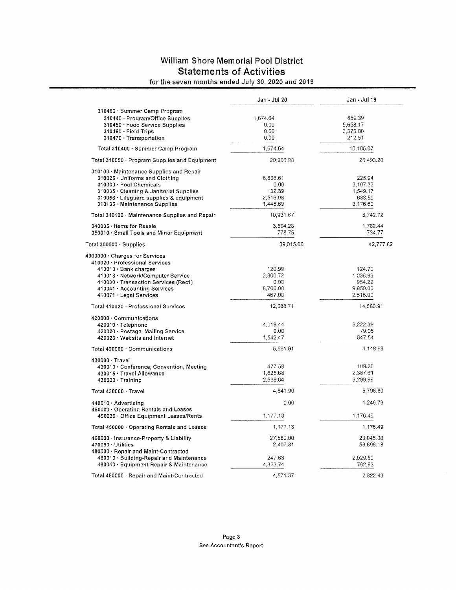## William Shore Memorial Pool District **Statements of Activities**

for the seven months ended July 30, 2020 and 2019

|                                                                               | Jan - Jul 20 | Jan - Jul 19 |
|-------------------------------------------------------------------------------|--------------|--------------|
| 310400 · Summer Camp Program                                                  |              |              |
| 310440 · Program/Office Supplies                                              | 1,674.64     | 859.39       |
| 310450 · Food Service Supplies                                                | 0.00         | 5.658.17     |
| 310460 · Field Trips                                                          | 0.00         | 3,375.00     |
| 310470 · Transportation                                                       | 0.00         | 212.51       |
| Total 310400 · Summer Camp Program                                            | 1,674.64     | 10,105.07    |
| Total 310050 · Program Supplies and Equipment                                 | 20,906.98    | 26,493.20    |
| 310100 · Maintenance Supplies and Repair                                      |              |              |
| 310026 · Uniforms and Clothing                                                | 6,836.61     | 225.94       |
| 310030 · Pool Chemicals                                                       | 0.00         | 3,107.33     |
| 310035 · Cleaning & Janitorial Supplies                                       | 132.39       | 1,549.17     |
| 310056 · Lifeguard supplies & equipment                                       | 2,516.98     | 683.59       |
| 310135 · Maintenance Supplies                                                 | 1,445.69     | 3,176.69     |
|                                                                               |              |              |
| Total 310100 · Maintenance Supplies and Repair                                | 10,931.67    | 8,742.72     |
| 340035 · Items for Resale                                                     | 3,594.23     | 1,782,44     |
| 350010 · Small Tools and Minor Equipment                                      | 778.75       | 734.77       |
| Total $300000 \cdot$ Supplies                                                 | 39,015.60    | 42,777.82    |
| 4000000 · Charges for Services                                                |              |              |
| 410020 · Professional Services                                                |              |              |
| 410010 · Bank charges                                                         | 120.99       | 124.70       |
| 410013 · Network/Computer Service                                             | 3,300.72     | 1.036.99     |
| 410030 · Transaction Services (Rec1)                                          | 0.00         | 954.22       |
| 410041 · Accounting Services                                                  | 8,700.00     | 9,950.00     |
| 410071 · Legal Services                                                       | 467.00       | 2,515.00     |
| Total 410020 · Professional Services                                          | 12,588.71    | 14,580.91    |
| 420000 Communications                                                         |              |              |
| $420010 \cdot$ Telephone                                                      | 4,019.44     | 3,222,39     |
| 420020 · Postage, Mailing Service                                             | 0.00         | 79.06        |
| 420023 · Website and Internet                                                 | 1,542.47     | 847.54       |
| Total 420000 · Communications                                                 | 5,561.91     | 4,148.99     |
| 430000 · Travel                                                               |              |              |
| 430010 · Conference, Convention, Meeting                                      | 477.58       | 109.20       |
| 430015 · Travel Allowance                                                     | 1,825.68     | 2,387.61     |
| $430020 \cdot$ Training                                                       | 2,538.64     | 3,299.99     |
| Total 430000 · Travel                                                         | 4,841.90     | 5,796.80     |
| 440010 · Advertising                                                          | 0.00         | 1,246.79     |
| 450000 Operating Rentals and Leases<br>450030 · Office Equipment Leases/Rents | 1,177.13     | 1,176.49     |
|                                                                               | 1,177.13     | 1,176.49     |
| Total 450000 · Operating Rentals and Leases                                   |              |              |
| 460030 · Insurance-Property & Liability                                       | 27,580.00    | 23,045.00    |
| 470090 Utilities                                                              | 2.407.81     | 56,696.18    |
| 480000 · Repair and Maint-Contracted                                          |              |              |
| 480010 · Building-Repair and Maintenance                                      | 247.63       | 2,029.50     |
| 480040 · Equipment-Repair & Maintenance                                       | 4,323.74     | 792.93       |
| Total 480000 · Repair and Maint-Contracted                                    | 4,571.37     | 2.822.43     |
|                                                                               |              |              |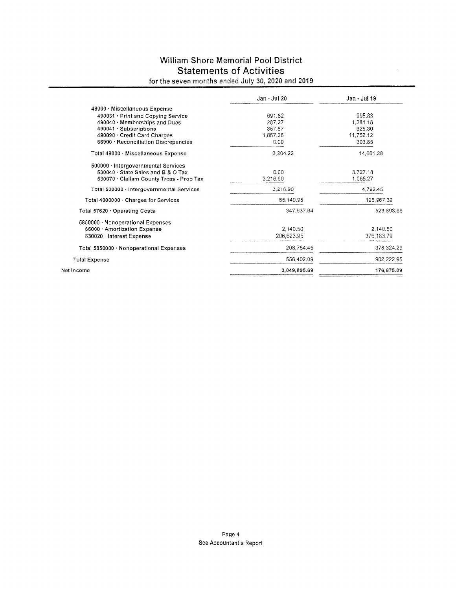## William Shore Memorial Pool District **Statements of Activities**

## for the seven months ended July 30, 2020 and 2019

|                                           | Jan - Jul 20 | Jan - Jul 19 |
|-------------------------------------------|--------------|--------------|
| 49000 Miscellaneous Expense               |              |              |
| 490031 · Print and Copying Service        | 691.82       | 995.83       |
| 490040 · Memberships and Dues             | 287.27       | 1,284.18     |
| 490041 · Subscriptions                    | 357.87       | 325.30       |
| 490090 · Credit Card Charges              | 1.867.26     | 11.752.12    |
| 66900 · Reconciliation Discrepancies      | 0.00         | 303.85       |
| Total 49000 · Miscellaneous Expense       | 3,204.22     | 14,661.28    |
| 500000 · Intergovernmental Services       |              |              |
| 530040 · State Sales and B & O Tax        | 0.00         | 3,727.18     |
| 530070 · Clallam County Treas - Prop Tax  | 3,216.90     | 1,065.27     |
| Total 500000 · Intergovernmental Services | 3.216.90     | 4,792.45     |
| Total 4000000 · Charges for Services      | 65,149.95    | 128,967.32   |
| Total 57620 · Operating Costs             | 347,637.64   | 523,898.66   |
| 5850000 · Nonoperational Expenses         |              |              |
| 66000 · Amortization Expense              | 2,140.50     | 2.140.50     |
| 830020 Interest Expense                   | 206,623.95   | 376,183.79   |
| Total 5850000 · Nonoperational Expenses   | 208,764.45   | 378,324.29   |
| <b>Total Expense</b>                      | 556,402.09   | 902,222.95   |
| Net Income                                | 3,049,895.69 | 176,675.09   |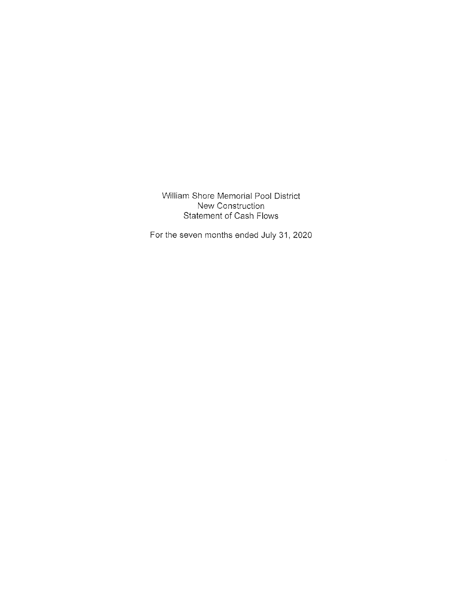William Shore Memorial Pool District New Construction **Statement of Cash Flows** 

For the seven months ended July 31, 2020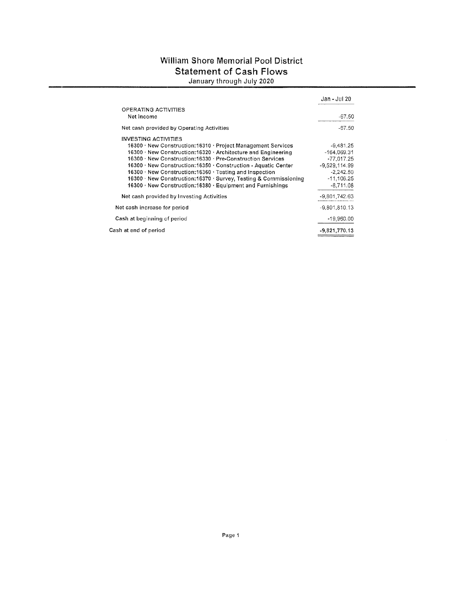## William Shore Memorial Pool District **Statement of Cash Flows** January through July 2020

|                                                                  | Jan - Jul 20    |
|------------------------------------------------------------------|-----------------|
| OPERATING ACTIVITIES<br>Net Income                               | $-67.50$        |
| Net cash provided by Operating Activities                        | $-67.50$        |
| <b>INVESTING ACTIVITIES</b>                                      |                 |
| 16300 · New Construction:16310 · Project Management Services     | $-9,481,25$     |
| 16300 · New Construction:16320 · Architecture and Engineering    | -164,069.31     |
| 16300 · New Construction:16330 · Pre-Construction Services       | $-77.017.25$    |
| 16300 · New Construction:16350 · Construction - Aquatic Center   | $-9.529.114.99$ |
| 16300 · New Construction:16360 · Testing and Inspection          | $-2,242.50$     |
| 16300 · New Construction:16370 · Survey, Testing & Commissioning | $-11,106,25$    |
| 16300 · New Construction:16380 · Equipment and Furnishings       | $-8.711.08$     |
| Net cash provided by Investing Activities                        | -9,801,742.63   |
| Net cash increase for period                                     | $-9,801,810,13$ |
| Cash at beginning of period                                      | $-19,960.00$    |
| Cash at end of period                                            | $-9,821,770.13$ |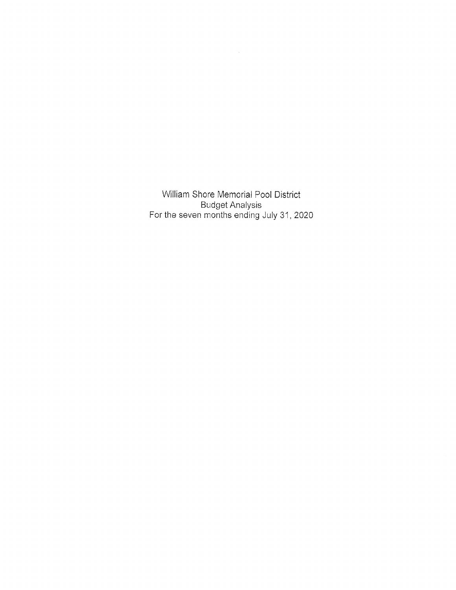William Shore Memorial Pool District Budget Analysis For the seven months ending July 31, 2020  $\,$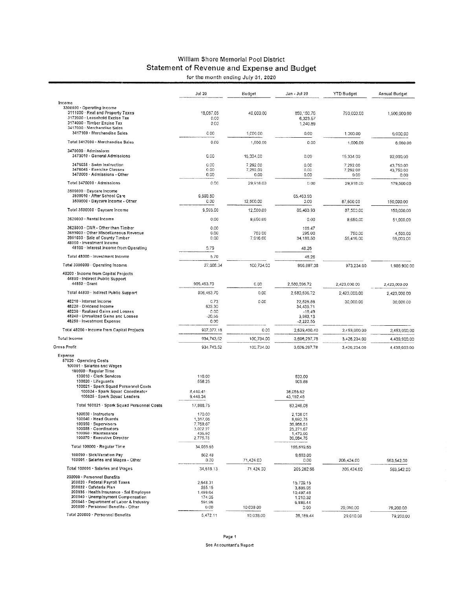## William Shore Memorial Pool District Statement of Revenue and Expense and Budget<br>for the month ending July 31, 2020

|  | for the month ending July 31, 20, |  |  |
|--|-----------------------------------|--|--|
|  |                                   |  |  |

|                                                                                                                                                                                                                                                              | <b>Jul 20</b>                                                    | Budget                       | Jan - Jul 20                                                            | <b>YTD Budget</b>            | Annual Budget                  |
|--------------------------------------------------------------------------------------------------------------------------------------------------------------------------------------------------------------------------------------------------------------|------------------------------------------------------------------|------------------------------|-------------------------------------------------------------------------|------------------------------|--------------------------------|
| Income                                                                                                                                                                                                                                                       |                                                                  |                              |                                                                         |                              |                                |
| 3300000 · Operating Income<br>3111000 · Real and Property Taxes<br>3172000 · Leasehold Excise Tax<br>3174000 · Timber Excise Tax                                                                                                                             | 18,067.05<br>0.00<br>0.00                                        | 40,000.00                    | 859,150,76<br>6,323.57<br>1,240.89                                      | 790,000.00                   | 1,500,000.00                   |
| 3417000 - Merchandise Sales<br>3417100 · Merchandise Sales                                                                                                                                                                                                   | 0.00                                                             |                              |                                                                         |                              |                                |
| Total 3417000 · Merchandise Sales                                                                                                                                                                                                                            |                                                                  | 1,000.00                     | 0.00                                                                    | 1,000.00                     | 6,000.00                       |
| 3470000 · Admissions                                                                                                                                                                                                                                         | 0.00                                                             | 1,000.00                     | 0.00                                                                    | 1,000.00                     | 6,000.00                       |
| 3473010 · General Admissions                                                                                                                                                                                                                                 | 0.00                                                             | 15,334,00                    | 0.00                                                                    | 15,334.00                    | 92,000.00                      |
| 3476035 · Swim Instruction<br>3476045 · Exercise Classes<br>3470000 - Admissions - Other                                                                                                                                                                     | 0.00<br>0.00<br>0.00                                             | 7,292.00<br>7,292,00<br>0.00 | 0.00<br>0,00<br>0.00                                                    | 7,292.00<br>7,292.00<br>0.00 | 43,750.00<br>43,750.00<br>0.00 |
| Total 3470000 Admissions                                                                                                                                                                                                                                     | 0.00                                                             | 29,918.00                    | 0.00                                                                    | 29,918.00                    | 179,500.00                     |
| 3500000 · Daycare Income<br>3500010 · After School Care<br>3500000 · Daycare Income - Other                                                                                                                                                                  | 9,593.50<br>0.00                                                 | 12,500.00                    | 65,463.93<br>0.00                                                       | 87,500.00                    | 150,000.00                     |
| Total 3500000 · Daycare Income                                                                                                                                                                                                                               | 9,593.50                                                         | 12,500.00                    | 65,463.93                                                               | 37,500.00                    | 150,000.00                     |
| 3620000 · Rental Income                                                                                                                                                                                                                                      | 0.00                                                             | 8,650.00                     | 0.00                                                                    | 8,650.00                     | 51,900,00                      |
| 3625000 · DNR - Other than Timber                                                                                                                                                                                                                            | 0.00                                                             |                              | 188.47                                                                  |                              |                                |
| 3699000 Other Miscellaneous Revenue<br>3951030 · Sale of County Timber<br>48000 · Investment Income                                                                                                                                                          | 0.00<br>0.00                                                     | 750.00<br>7,916.00           | 295.00<br>34,186,50                                                     | 750.00<br>55,416.00          | 4,500.00<br>95,000.00          |
| 48100 · Interest Income from Operating                                                                                                                                                                                                                       | 5.79                                                             |                              | 48.26                                                                   |                              |                                |
| Total 48000 · Investment Income                                                                                                                                                                                                                              | 5,79                                                             |                              | 48.26                                                                   |                              |                                |
| Total 3300000 · Operating Income                                                                                                                                                                                                                             | 27,666.34                                                        | 100,734.00                   | 966,897.38                                                              | 973,234.00                   | 1,986,900.00                   |
| 48200 · Income from Capital Projects<br>44800 · Indirect Public Support<br>44850 · Grant                                                                                                                                                                     | 906,463.70                                                       | 0.00                         | 2,580,596.72                                                            | 2,423,000.00                 | 2,423,000.00                   |
| Total 44800 · Indirect Public Support                                                                                                                                                                                                                        | 905,463.70                                                       | 0.00                         | 2,580,596.72                                                            | 2,423,000.00                 | 2,423,000.00                   |
| 48210 · Interest Income<br>48220 · Dividend Income<br>48230 · Realized Gains and Losses<br>48240 · Unrealized Gains and Losses<br>48250 · Investment Expense                                                                                                 | 0.73<br>633.30<br>0.00<br>$-20.55$<br>0.00                       | 0.00                         | 22,626.88<br>34,435.71<br>$-19,49$<br>3,983.13<br>$-2,222.55$           | 30,000.00                    | 30,000.00                      |
| Total 48200 · Income from Capital Projects                                                                                                                                                                                                                   | 907,077.18                                                       | 0.00                         | 2,639,400.40                                                            | 2,453,000.00                 | 2,453,000.00                   |
| Total Income                                                                                                                                                                                                                                                 | 934,743,52                                                       | 100,734.00                   | 3,606,297.78                                                            | 3,426,234.00                 | 4,439,900.00                   |
| Gross Profit                                                                                                                                                                                                                                                 | 934,743,52                                                       | 100,734.00                   | 3,606.297.78                                                            | 3,426,234.00                 | 4,439,600.00                   |
| Expense<br>57620 · Operating Costs<br>100001 · Salaries and Wages<br>100000 · Regular Time<br>100010 · Clerk Services<br>100020 · Lifeguards                                                                                                                 | 119.00<br>558.25                                                 |                              | 833.00<br>909.88                                                        |                              |                                |
| 100021 · Spark Squad Personnel Costs<br>100024 · Spark Squad Coordinator<br>100025 · Spark Squad Leaders                                                                                                                                                     | 8,440.41<br>9,448.34                                             |                              | 38,055.62<br>45,192.46                                                  |                              |                                |
| Total 100021 · Spark Squad Personnel Costs                                                                                                                                                                                                                   | 17,888.75                                                        |                              | 83,248,08                                                               |                              |                                |
| $100030 \cdot$ instructors<br>100040 · Head Guards<br>100050 · Supervisors<br>100055 Coordinators<br>100060 · Maintenance<br>100070 · Executive Director                                                                                                     | 170.00<br>1,317,06<br>7,769.07<br>3,022.27<br>435.50<br>2,775.75 |                              | 2,138.01<br>5,692.75<br>36,968.51<br>25,271.67<br>1,473,00<br>36,084.75 |                              |                                |
| Total 100000 · Regular Time                                                                                                                                                                                                                                  | 34,055.65                                                        |                              | 195,619.65                                                              |                              |                                |
| 100090 - Sick/Vacation Pay                                                                                                                                                                                                                                   | 562.48                                                           |                              | 9,663.00                                                                |                              |                                |
| 100001 · Salaries and Wages - Other                                                                                                                                                                                                                          | 0,00                                                             | 71,424.00                    | 0.00                                                                    | 206,424.00                   | 563,542.00                     |
| Total 100001 · Salaries and Wages                                                                                                                                                                                                                            | 34,618.13                                                        | 71,424.00                    | 205,282.65                                                              | 205,424.00                   | 563,542.00                     |
| 200000 · Personnel Benefits<br>200020 · Federal Payroll Taxes<br>200032 · Cafeteria Plan<br>200035 · Health Insurance - Sal Employee<br>200040 - Unemployment Compensation<br>200045 · Department of Labor & Industry<br>200000 · Personnel Benefits - Other | 2,648.31<br>555.15<br>1,499.64<br>174.05<br>594.96               |                              | 15,709.15<br>3,886.05<br>10,497.48<br>1,210.32<br>6,885.44              |                              |                                |
| Total 200000 · Personnel Benefits                                                                                                                                                                                                                            | 0.00<br>5,472.11                                                 | 10,038.00                    | 0.00                                                                    | 29,010.00                    | 79,200.00                      |
|                                                                                                                                                                                                                                                              |                                                                  | 10,038.00                    | 38,189.44                                                               | 29,010.00                    | 79,200.00                      |

Page 1 See Accountant's Report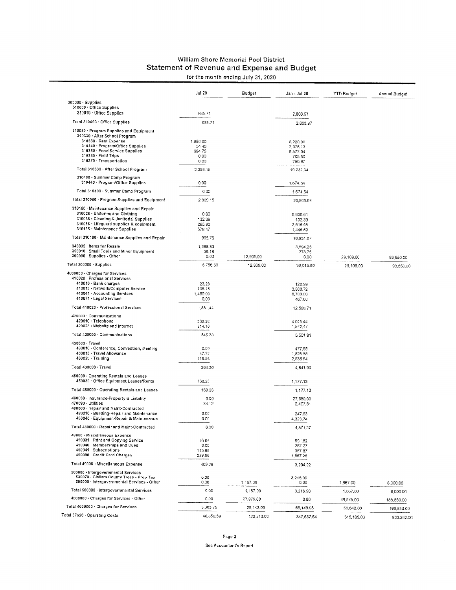#### William Shore Memorial Pool District **Statement of Revenue and Expense and Budget** for the month ending July 31, 2020

|                                                                                                                                                                                                                                                   | <b>Jul 20</b>                                | Budget     | Jan - Jul 20                                            | <b>YTD Budget</b> | Annual Budget |
|---------------------------------------------------------------------------------------------------------------------------------------------------------------------------------------------------------------------------------------------------|----------------------------------------------|------------|---------------------------------------------------------|-------------------|---------------|
| $300000 \cdot$ Supplies<br>310000 Office Supplies                                                                                                                                                                                                 |                                              |            |                                                         |                   |               |
| 310010 · Office Supplies                                                                                                                                                                                                                          | 935.71                                       |            | 2,803.97                                                |                   |               |
| Total 310000 - Office Supplies                                                                                                                                                                                                                    | 935.71                                       |            | 2,803.97                                                |                   |               |
| 310050 · Program Supplies and Equipment<br>310330 · After School Program<br>310380 · Rent Expense<br>310340 · Program/Office Supplies<br>310350 · Food Service Supplies<br>310360 · Field Trips                                                   | 1,650.00<br>54.40<br>694.75<br>0.00          |            | 8,220.00<br>2,978.13<br>6,577.94<br>705.60              |                   |               |
| 310370 Transportation                                                                                                                                                                                                                             | 0.00                                         |            | 750.67                                                  |                   |               |
| Total 310330 - After School Program                                                                                                                                                                                                               | 2,399.15                                     |            | 19,232,34                                               |                   |               |
| 310400 · Summer Camp Program<br>310440 · Program/Office Supplies                                                                                                                                                                                  | 0.00                                         |            | 1,674.64                                                |                   |               |
| Total 310400 · Summer Camp Program                                                                                                                                                                                                                | 0.00                                         |            | 1,674.64                                                |                   |               |
| Total 310050 · Program Supplies and Equipment                                                                                                                                                                                                     | 2,399.15                                     |            | 20,906.98                                               |                   |               |
| 310100 · Maintenance Supplies and Repair<br>310026 - Uniforms and Clothing<br>310035 Cleaning & Janitorial Supplies<br>310056 · Lifeguard supplies & equipment<br>310135 · Maintenance Supplies<br>Total 310100 · Maintenance Supplies and Repair | 0.00<br>132.39<br>285,90<br>578,47<br>995.76 |            | 6,836.61<br>132.39<br>2,516.98<br>1,445.69<br>10,931.67 |                   |               |
| 340035 Htems for Resale                                                                                                                                                                                                                           | 1,388.80                                     |            | 3,594.23                                                |                   |               |
| 350010 · Small Tools and Minor Equipment                                                                                                                                                                                                          | 36.18                                        |            | 778.75                                                  |                   |               |
| 300000 · Supplies - Other                                                                                                                                                                                                                         | 0.00                                         | 12,909.00  | 0.00                                                    | 29,109,00         | 93,650.00     |
| Total 300000 · Supplies                                                                                                                                                                                                                           | 5,756.60                                     | 12,909.00  | 39,015.60                                               | 29,109.00         | 93,650.00     |
| 4000000 · Charges for Services<br>410020 · Professional Services<br>410010 · Bank charges<br>410013 · Network/Computer Service<br>410041 - Accounting Services<br>410071 · Legal Services                                                         | 23.29<br>108.15<br>1,450.00<br>0.00          |            | 120.99<br>3,300.72<br>8,700.00<br>467.00                |                   |               |
| Total 410020 · Professional Services                                                                                                                                                                                                              | 1,581.44                                     |            | 12,588.71                                               |                   |               |
| 420000 · Communications<br>420010 Telephone<br>420023 · Website and Internet                                                                                                                                                                      | 332.28<br>214.10                             |            | 4,019.44<br>1,542,47                                    |                   |               |
| Total 420000 - Communications                                                                                                                                                                                                                     | 546.38                                       |            | 5,561.91                                                |                   |               |
| 430000 · Travel<br>430010 · Conference, Convention, Meeting<br>430015 · Travel Allowance<br>430020 · Training                                                                                                                                     | 0.00<br>47,72<br>216.58                      |            | 477.58<br>1,825.68<br>2,538.64                          |                   |               |
| Total 430000 · Travel                                                                                                                                                                                                                             | 264.30                                       |            | 4,841.90                                                |                   |               |
| 450000 . Operating Rentals and Leases<br>450030 · Office Equipment Leases/Rents                                                                                                                                                                   | 168.23                                       |            | 1,177.13                                                |                   |               |
| Total 450000 · Operating Rentals and Leases                                                                                                                                                                                                       | 168.23                                       |            | 1,177.13                                                |                   |               |
| 460030 · Insurance-Property & Liability                                                                                                                                                                                                           | 0.00                                         |            | 27,580.00                                               |                   |               |
| 470090 Utilities<br>480000 · Repair and Maint-Contracted<br>480010 · Building-Repair and Maintenance<br>480040 · Equipment-Repair & Maintenance                                                                                                   | 34,12<br>0.00<br>0.00                        |            | 2,407.81<br>247,63                                      |                   |               |
| Total 480000 · Repair and Maint-Contracted                                                                                                                                                                                                        | 0.00                                         |            | 4,323.74                                                |                   |               |
| 49000 · Miscellaneous Expense<br>490031 · Print and Copying Service<br>490040 · Memberships and Dues<br>490041 · Subscriptions<br>490090 - Credit Card Charges                                                                                    | 65.64<br>0.C0<br>113.98<br>229.66            |            | 4.571.37<br>591.82<br>287.27<br>357.87<br>1,867.26      |                   |               |
| Total 49000 . Miscellaneous Expense                                                                                                                                                                                                               | 409.28                                       |            | 3,204.22                                                |                   |               |
| 500000 · Intergovernmental Services<br>530070 · Clallam County Treas - Prop Tax<br>500000 - Intergovernmental Services - Other                                                                                                                    | 0.00<br>0.00                                 | 1,167.00   | 3,216.90<br>0.00                                        | 1,667.00          | 8,000.00      |
| Total 500000 · Intergovernmental Services                                                                                                                                                                                                         | 0.00                                         | 1,167.00   | 3,216.90                                                | 1,667.00          | 8,000.00      |
| 4000000 · Charges for Services - Other                                                                                                                                                                                                            | 0.00                                         | 27,975.00  | 0.00                                                    | 48,975.00         | 188,850.00    |
| Total 4000000 · Charges for Services                                                                                                                                                                                                              | 3,003.75                                     | 29,142.00  | 65,149.95                                               | 50,642.00         | 196,850.00    |
| Total 57620 . Operating Costs                                                                                                                                                                                                                     | 48,850.59                                    | 123,513.00 | 347,637.64                                              | 315,185,00        | 933,242.00    |

Page 2 See Accountant's Report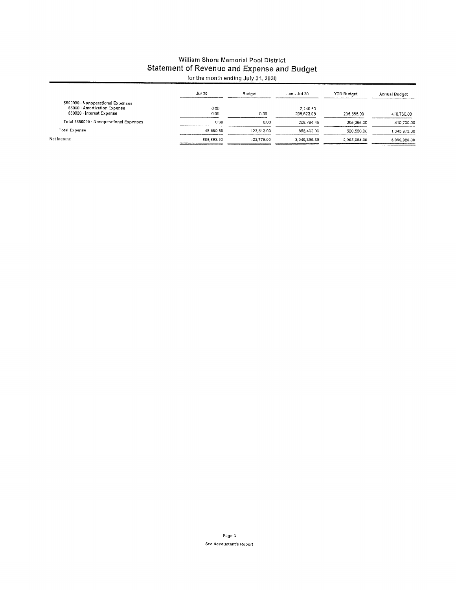# William Shore Memorial Pool District Statement of Revenue and Expense and Budget

|                                                           | Jul 20     | Budget       | Jan - Jul 20 | <b>YTD Budget</b> | Annual Budget |
|-----------------------------------------------------------|------------|--------------|--------------|-------------------|---------------|
| 5850000 · Nonoperational Expenses                         |            |              |              |                   |               |
| 66000 - Amortization Expense<br>830020 · Interest Expense | 0.00       |              | 2.140.50     |                   |               |
|                                                           | 0.00       | 0.00         | 206.623.95   | 205.365.00        | 410.730.00    |
| Total 5850000 Nonoperational Expenses                     | 0.00       | 0.00         | 208,764.45   | 205.365.00        | 410.730.00    |
| Total Expense                                             | 48.850.59  | 123.513.00   | 556,402.09   | 520.550.00        | 1,343,972.00  |
| Net Income                                                | 885.892.93 | $-22.779.00$ | 3.049.895.69 | 2.905.684.00      | 3,095,928.00  |
|                                                           |            |              |              |                   |               |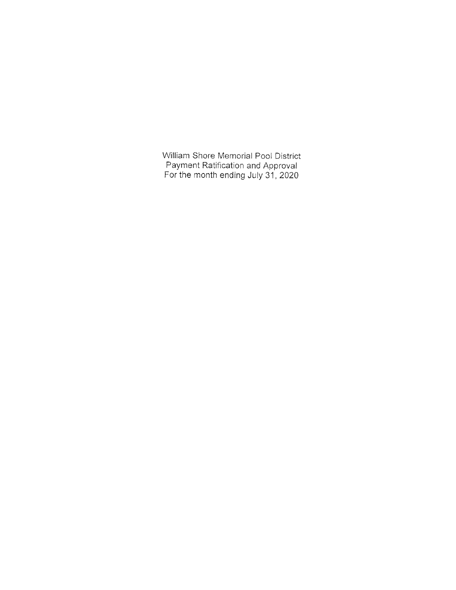William Shore Memorial Pool District Payment Ratification and Approval<br>For the month ending July 31, 2020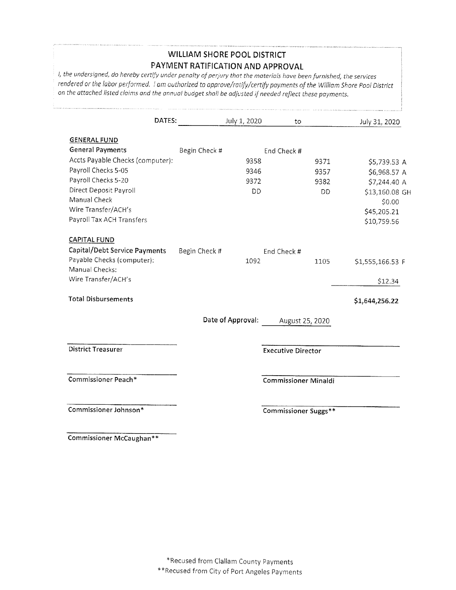## **WILLIAM SHORE POOL DISTRICT** PAYMENT RATIFICATION AND APPROVAL

I, the undersigned, do hereby certify under penalty of perjury that the materials have been furnished, the services rendered or the labor performed. I am authorized to approve/ratify/certify payments of the William Shore Pool District on the attached listed claims and the annual budget shall be adjusted if needed reflect these payments.

| DATES:                           |               | July 1, 2020      | to                          |                 | July 31, 2020    |
|----------------------------------|---------------|-------------------|-----------------------------|-----------------|------------------|
| <b>GENERAL FUND</b>              |               |                   |                             |                 |                  |
| <b>General Payments</b>          | Begin Check # |                   | End Check #                 |                 |                  |
| Accts Payable Checks (computer): |               | 9358              |                             | 9371            | \$5,739.53 A     |
| Payroll Checks 5-05              |               | 9346              |                             | 9357            | \$6,968.57 A     |
| Payroll Checks 5-20              |               | 9372              |                             | 9382            | \$7,244.40 A     |
| <b>Direct Deposit Payroll</b>    |               | DD                |                             | DD.             | \$13,160.08 GH   |
| Manual Check                     |               |                   |                             |                 | \$0.00           |
| Wire Transfer/ACH's              |               |                   |                             |                 | \$45,205.21      |
| Payroll Tax ACH Transfers        |               |                   |                             |                 | \$10,759.56      |
| <b>CAPITAL FUND</b>              |               |                   |                             |                 |                  |
| Capital/Debt Service Payments    | Begin Check # |                   | End Check #                 |                 |                  |
| Payable Checks (computer):       |               | 1092              |                             | 1105            | \$1,555,166.53 F |
| Manual Checks:                   |               |                   |                             |                 |                  |
| Wire Transfer/ACH's              |               |                   |                             |                 | \$12.34          |
| <b>Total Disbursements</b>       |               |                   |                             |                 | \$1,644,256.22   |
|                                  |               | Date of Approval: |                             | August 25, 2020 |                  |
| <b>District Treasurer</b>        |               |                   |                             |                 |                  |
|                                  |               |                   | <b>Executive Director</b>   |                 |                  |
| Commissioner Peach*              |               |                   | <b>Commissioner Minaldi</b> |                 |                  |
| Commissioner Johnson*            |               |                   | Commissioner Suggs**        |                 |                  |

Commissioner McCaughan\*\*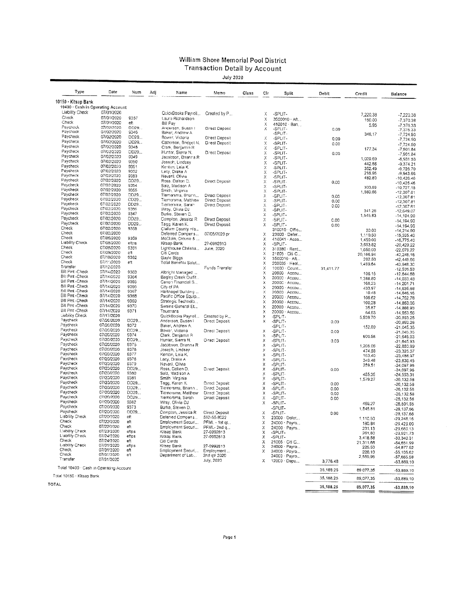#### William Shore Memorial Pool District **Transaction Detail by Account**

**July 2020** 

| Type                                                 | Date                     | Num           | Adj | Name                                    | Memo                         | Class | Cir     | Split                          | Debit                     | Credit                 | Balance                      |
|------------------------------------------------------|--------------------------|---------------|-----|-----------------------------------------|------------------------------|-------|---------|--------------------------------|---------------------------|------------------------|------------------------------|
| 10150 . Kitsap Bank                                  |                          |               |     |                                         |                              |       |         |                                |                           |                        |                              |
| 10400 · Cash in Operating Account<br>Liability Check | 07/01/2020               |               |     |                                         |                              |       |         |                                |                           |                        |                              |
| Check                                                | 07/01/2020               |               |     | QuickBooks Payroll                      | Created by P                 |       | Х       | -SPLIT.                        |                           | 7,220,38               | -7,220.38                    |
| Check                                                | 07/01/2020               | 9357<br>eft   |     | Laura Richardson                        |                              |       | Х       | 3500010 Aft                    |                           | 150.00                 | -7,370.38                    |
| Paycheck                                             | 07/02/2020               | DD29          |     | Bill Pay<br>Anderson, Susan I           | Direct Deposit               |       | Х<br>Х  | 410010 · Ban                   |                           | 5.95                   | $-7.376.33$                  |
| Paycheck                                             | 07/02/2020               | 9346          |     | Baker, Andrew A                         |                              |       |         | -SPLIT-<br>-SPLIT -            | 0.00                      | 348,17                 | $-7,376.33$<br>7,724.50      |
| Paycheck                                             | 07/02/2020               | DD29          |     | Bower, Victoria                         | Direct Deposit               |       | Х       | -SPLIT-                        | 0.00                      |                        | $-7,724.50$                  |
| Paycheck                                             | 07/02/2020               | DD29          |     | Catterson, Bridget N.                   | Direct Deposit               |       | Х       | -SPLIT-                        | 0.00                      |                        | $-7,724.50$                  |
| Paycheck<br>Paycheck                                 | 07/02/2020               | 9348          |     | Clark, Benjamin R                       |                              |       | χ       | -SPLIT-                        |                           | 177.34                 | $-7,901.84$                  |
| Paycheck                                             | 07/02/2020<br>07/02/2020 | DD29<br>9349  |     | Hunter, Sierra N.                       | Direct Deposit               |       | χ       | -SPLIT-                        | 0.00                      |                        | $-7,901.84$                  |
| Paycheck                                             | 07/02/2020               | 9350          |     | Jacobson, Brianna R<br>Joseph, Lindsey  |                              |       | Χ       | -SPLIT-                        |                           | 1,029.69               | -8,931.53                    |
| Paycheck                                             | 07/02/2020               | 9351          |     | Kenton, Leia K.                         |                              |       | X<br>χ  | -SPLIT-<br>-SPLIT-             |                           | 442.68                 | $-9.374.21$                  |
| Paycheck                                             | 07/02/2020               | 9352          |     | Lacy, Drake A                           |                              |       | Χ       | -SPLIT-                        |                           | 352.49<br>216.96       | $-9,726.70$<br>$-9,943.66$   |
| Paycheck                                             | 07/02/2020               | 9353          |     | Nevaril, Olivia                         |                              |       | Χ       | -SPLIT-                        |                           | 482.80                 | $-10,426,46$                 |
| Paycheck                                             | 07/02/2020               | DD29          |     | Ross, Dalton D.                         | Direct Deposit               |       | Χ       | -SPLIT-                        | 0.00                      |                        | $-10,426.46$                 |
| Paycheck<br>Paycheck                                 | 07/02/2020<br>07/02/2020 | 9354<br>9355  |     | Saiz, Madison A                         |                              |       | χ       | -SPLIT-                        |                           | 300.69                 | $-10,727.15$                 |
| Paycheck                                             | 07/02/2020               | DD29          |     | Smith, Virginia<br>Tiemersma, Briann    | Direct Deposit               |       | Χ<br>Χ  | -SPLIT-                        |                           | 1,580.66               | $-12,307.81$                 |
| Paycheck                                             | 07/02/2020               | DD29          |     | Tiemersma, Matthew                      | Direct Deposit               |       | Χ       | -SPLIT-<br>-SPLIT-             | 0.00<br>0.00              |                        | $-12,307.81$                 |
| Paycheck                                             | 07/02/2020               | DD29          |     | Tiemersma, Sarah                        | Direct Deposit               |       | Х       | -SPLIT-                        | 0.00                      |                        | $-12,307,81$<br>$-12,307.81$ |
| Paycheck                                             | 07/02/2020               | 9356          |     | Wray, Olivia DJ                         |                              |       | X       | -SPLIT-                        |                           | 341.26                 | $-12,649.07$                 |
| Paycheck                                             | 07/02/2020               | 9347          |     | Burke, Steven D.                        |                              |       | x       | -SPLIT-                        |                           | 1,545,83               | $-14,194.90$                 |
| Paycheck                                             | 07/02/2020               | DD29          |     | Compton, Jessica R                      | Direct Deposit               |       | X       | -SPLIT-                        | 0.00                      |                        | -14,194.90                   |
| Paycheck<br>Check                                    | 07/02/2020               | DD29          |     | Tagg, Karen K.                          | Direct Deposit               |       | х       | -SPLIT-                        | 0.00                      |                        | $-14,194,90$                 |
| Check                                                | 07/02/2020<br>07/02/2020 | 9358          |     | Clallam County His<br>Deferred Comper.s |                              |       |         | 310010 Offic                   |                           | 20.00                  | $-14,214.90$                 |
| Check                                                | 07/06/2020               | 9359          |     | McClain, Crouse &                       | 07/05/2020 pr                |       | х<br>x  | 23000 Defer<br>410041 · Acco   |                           | 1.110.50               | $-15,325.40$                 |
| Liability Check                                      | 07/08/2020               | eftos         |     | Kitsap Bank                             | 27-0992813                   |       | Х       | -SPLIT-                        |                           | 1,450.00<br>3,653.82   | $-16, 775.40$                |
| Check                                                | C7/08/2020               | 9361          |     | Lighthouse Christia                     | June, 2020                   |       | Χ       | 310380 · Rent                  |                           | 1,650.00               | $-20,429.22$<br>$-22,079.22$ |
| Check                                                | 07/09/2020               | сft           |     | Citi Cards                              |                              |       | X       | 21005 · Citi C                 |                           | 20,166.94              | $-42,246,16$                 |
| Check                                                | 07/10/2020               | 9362          |     | Gayle Biggs                             |                              |       | χ       | 3500010 Aft                    |                           | 202.50                 | -42,448.66                   |
| Check<br>Transfer                                    | 07/11/2020               | eft           |     | Total Benefits Solut                    |                              |       | х       | 200035 · Heal                  |                           | 1,499.64               | $-43,948,30$                 |
| Bill Pmt -Check                                      | 07/12/2020<br>07/14/2020 | 9363          |     | Albright Managed                        | Funds Transfer               |       | x       | 10000 · Count                  | 31,411.77                 |                        | $-12,536.53$                 |
| Bill Pmt -Check                                      | 07/14/2020               | 9364          |     | Bagley Creek Outfit                     |                              |       | Χ<br>X. | 20000 Accou<br>20000 - Accou   |                           | 108.15                 | $-12,644.68$                 |
| <b>Bill Pmt -Check</b>                               | 07/14/2020               | 9365          |     | Canon Financial S                       |                              |       | x       | 20000 - Accou                  |                           | 1,388,80               | $-14,033,48$                 |
| Bill Pmt -Check                                      | 07/14/2020               | 9366          |     | City of PA                              |                              |       | Х       | 20000 · Accou                  |                           | 168,23<br>433.97       | -14,201.71<br>-14,635.68     |
| <b>Bill Pmt -Check</b>                               | 07/14/2020               | 9367          |     | Hartnagel Building                      |                              |       | X       | 20000 Accou                    |                           | 10.48                  | -14,646.16                   |
| <b>Bill Pmt - Check</b>                              | 07/14/2020               | 9368          |     | Pacific Office Equip                    |                              |       | Х       | 20000 Accou                    |                           | 106.62                 | $-14,752.78$                 |
| <b>Bill Pmt -Check</b><br>Bill Pmt -Check            | 07/14/2020               | 9369          |     | Strategic Technolo                      |                              |       | х       | 20000 - Accou                  |                           | 100,28                 | $-14,853.06$                 |
| Bill Pmt -Check                                      | 07/14/2020<br>07/14/2020 | 9370<br>9371  |     | Swains General St.,                     |                              |       | x       | 20000 \ Accou                  |                           | 35.87                  | -14,888.93                   |
| Liability Check                                      | 07/17/2020               |               |     | Thurmans<br>QuickBooks Payrol           | Created by P                 |       | X.<br>X | 20000 · Accou<br>-SPLIT-       |                           | 64.63                  | $-14,953.56$                 |
| Paycheck                                             | 07/20/2020               | DO29          |     | Anderson, Susan I                       | Direct Deposit               |       | x       | -SPLIT-                        | 0.00                      | 5,939.70               | -20,893.26<br>-20,893.26     |
| Paycheck                                             | 07/20/2020               | 9372          |     | Baker, Andrew A.                        |                              |       |         | -SPLIT-                        |                           | 152,09                 | $-21,045.35$                 |
| Paycheck                                             | 07/20/2020               | DD29.         |     | Bower, Victoria                         | Direct Deposit               |       | x       | -SPLIT-                        | 0.00                      |                        | $-21,045,35$                 |
| Paycheck                                             | 07/20/2020               | 9374          |     | Clark, Benjamin R                       |                              |       | х       | -SPLIT-                        |                           | 600.58                 | -21,645.93                   |
| Paycheck<br>Paycheck                                 | 07/20/2020<br>07/20/2020 | DD29.<br>9375 |     | Hunter, Sierra N,                       | Direct Deposit               |       | X       | -SPLIT-                        | 0.00                      |                        | -21,645.93                   |
| Paycheck                                             | 07/20/2020               | 9376          |     | Jacobson, Brianna R<br>Joseph, Lindsey  |                              |       | X.<br>X | -SPLIT-<br>-SPLIT-             |                           | 1,205.06               | $-22,850.99$                 |
| Paycheck                                             | 07/20/2020               | 9377          |     | Kenton, Leia K.                         |                              |       | Х       | -SPLIT-                        |                           | 474.58<br>163,40       | $-23,325,57$                 |
| Paycheck                                             | 07/20/2020               | 9376          |     | Lacy, Drake A                           |                              |       | ×       | -SPLIT-                        |                           | 349.48                 | -23,488.97<br>$-23,838.45$   |
| Paycheck                                             | 07/20/2020               | 9379          |     | Nevaril, Olivia                         |                              |       | Χ       | -SPLIT-                        |                           | 259.51                 | -24,097.96                   |
| Paycheck                                             | 07/20/2020               | DD29          |     | Ross, Dalton D.                         | Direct Deposit               |       | X       | -SPLIT-                        | 0.00                      |                        | -24,097.96                   |
| Paycheck<br>Faycheck                                 | 07/20/2020<br>07/20/2020 | 9330<br>9381  |     | Saiz, Madison A                         |                              |       | χ<br>Χ  | -SPLIT-                        |                           | 455.35                 | $-24,553.31$                 |
| Paycheck                                             | 07/20/2020               | DD29          |     | Smith Virginia<br>Tagg, Karen K.        | Direct Deposit               |       | Χ       | -SPLIT-<br>-SPLIT-             | 0.00                      | 1,579.27               | -26,132.58                   |
| Paycheck                                             | 07/20/2020               | DD29          |     | Tiemersma, Briann                       | Direct Deposit               |       | χ       | -SPLIT-                        | 0,00                      |                        | -26,132.58<br>$-26, 132.58$  |
| Paycheck                                             | 07/20/2020               | DD29          |     | Tiomersma, Matthew                      | Direct Deposit               |       | Х       | -SPLIT-                        | 0.00                      |                        | -26,132.58                   |
| Paycheck                                             | 07/20/2020               | DD29          |     | Tiemersma, Sarah                        | Direct Deposit               |       | Χ       | -SPLIT-                        | 0.00                      |                        | -26,132.58                   |
| Paycheck                                             | 07/20/2020               | 9382          |     | Wray, Olivia DJ                         |                              |       | χ       | -SPLIT-                        |                           | 459.27                 | $-26,591.85$                 |
| Paycheck                                             | 07/20/2020<br>07/20/2020 | 9373          |     | Burke, Steven D.                        |                              |       |         | -SPLIT-                        |                           | 1,545.81               | -28,137.66                   |
| Paycheck<br>Liability Check                          | 07/20/2020               | 0029<br>et.   |     | Complon, Jessica R                      | Direct Deposit               |       | Χ       | -SPLIT-                        | 0.00                      |                        | $-28,137.66$                 |
| Check                                                | 07/22/2020               | еħ            |     | Deferred Compens.<br>Employment Securi  | 562-55-8022<br>PFML - 1st qt |       | x       | 23000 Defer                    |                           | 1,110.50               | $-29.248.16$                 |
| Check                                                | 07/22/2020               | eit           |     | Employment Securi                       | PFML-2nd q                   |       | χ<br>x  | 24000 · Payro<br>24000 - Payro |                           | 180.84                 | $-29.429.00$                 |
| Liability Check                                      | 07/23/2020               | eftps         |     | Kitsap Bank                             | 27-0992813                   |       | х       | -SPLIT-                        |                           | 231,13<br>261,60       | $-29,660.13$<br>$-29,921,73$ |
| Liability Check                                      | 07/24/2020               | eftps         |     | Kitsap Bank                             | 27-0992813                   |       | х       | -SPLIT-                        |                           | 3,418.58               | $-33,340.31$                 |
| Check                                                | 07/24/2020               | eft           |     | Citi Cards                              |                              |       | Х       | 21005 · Citi C                 |                           | 21,311.68              | $-54,651.99$                 |
| Liability Check<br>Check                             | 07/31/2020<br>07/31/2020 | eftps<br>eft  |     | Kitsap Bank                             | 27-0992813                   |       | x       | 24000 Payro                    |                           | 225.53                 | $-54, 877.52$                |
| Check                                                | 07/31/2020               | et            |     | Employment Securi<br>Department of Lat  | Employment<br>2nd otr 2020   |       | х       | 24000 · Payro                  |                           | 228.10                 | $-55,105.62$                 |
| Transfer                                             | 07/31/2020               |               |     |                                         | July, 2020                   |       | x       | 24000 Payro<br>12000 · Depo    | 3,776.48                  | 2,559.96               | $-57,665.58$                 |
| Total 10400 · Cash in Operating Account              |                          |               |     |                                         |                              |       |         |                                | 35,188.25                 | 89.077.35              | $-53,889,10$<br>$-53,889.10$ |
| Total 10150 · Kitsap Bank                            |                          |               |     |                                         |                              |       |         |                                |                           |                        |                              |
| TOTAL                                                |                          |               |     |                                         |                              |       |         |                                | 35, 138, 25<br>35, 138.25 | 89,077.35<br>89,077.35 | $-53,889,10$                 |
|                                                      |                          |               |     |                                         |                              |       |         |                                |                           |                        | $-53,889.10$                 |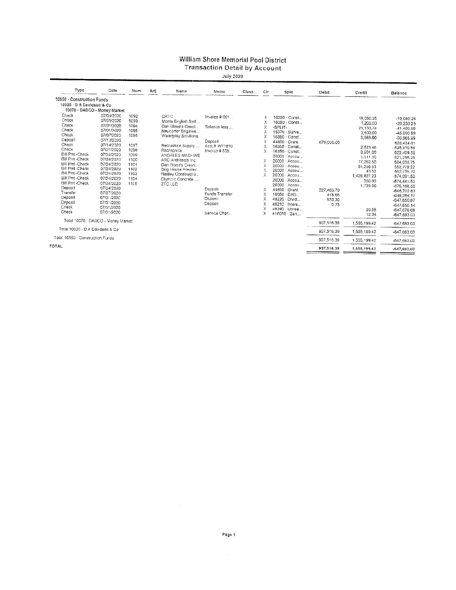#### William Shore Memorial Pool District **Transaction Detail by Account**

**July 2020** 

| Type                               | Date       | Num  | Adj | Name                   | Memo           | Class | Cir        | Split               | Debit         | Credit       | Balance                  |
|------------------------------------|------------|------|-----|------------------------|----------------|-------|------------|---------------------|---------------|--------------|--------------------------|
| 10550 Construction Funds           |            |      |     |                        |                |       |            |                     |               |              |                          |
| 10020 · D A Davidson & Co.         |            |      |     |                        |                |       |            |                     |               |              |                          |
| 10070 · DADCO - Money Market       |            |      |     |                        |                |       |            |                     |               |              |                          |
| Check                              | 07/01/2020 | 1092 |     | <b>CRTC</b>            | Invoice # 061  |       | х          | 16350 Const         |               | 19,050.25    |                          |
| Check                              | 07/01/2020 | 1093 |     | Monte English Self     |                |       | Х          | 16350 Const         |               | 1,200.00     | $-19,050.25$             |
| Check                              | 07/01/2020 | 1094 |     | Dan Blood's Creati     | Salance less   |       | X          | -SPLIT-             |               | 21.150.74    | $-20.250.25$             |
| Check                              | 07/01/2020 | 1095 |     | Neucorfer Enginee      |                |       | χ          | 16370 · Surve       |               | 3,600.00     | -41,400,99<br>-45,000.99 |
| Check                              | 07/07/2020 | 1096 |     | Waterplay Solutions    |                |       | X          | 16350 · Const       |               | 5,565.00     | $-50.565.99$             |
| Deposit                            | 07/10/2020 |      |     |                        | Deposit        |       | X          | 44850 · Grant       | 679,000.00    |              |                          |
| Check                              | 07/14/2020 | 1097 |     | Recreation Supply      | Acct # W71810  |       | Х          | 16350 · Const       |               | 2,523.46     | 628.434.01<br>625,910.55 |
| Check                              | 07/21/2020 | 1098 |     | Recrecnics             | Invoice #835.  |       | X          | 16350 Const.        |               | 3.501.00     | 622,409.55               |
| <b>Bill Pmt - Check</b>            | 07/24/2020 | 1099 |     | <b>ANGELES MACHINE</b> |                |       |            | 20000 · Accou       |               | 1,111.30     | 621.298.25               |
| Bill Pmt -Check                    | 07/24/2020 | 1100 |     | ARC Architects Inc.    |                |       | Χ          | 20000 - Accou       |               | 17,262.50    | 604,035,75               |
| Bill Pmt -Check                    | 07/24/2020 | 1101 |     | Dan Blood's Creati     |                |       | X          | 20000 - Accou       |               | 51,256.53    | 552.779.22               |
| Bill Pmt -Check                    | 07/24/2020 | 1102 |     | Dog House Powder       |                |       | X          | 20000 - Ассоц       |               | 43.52        | 552,735.70               |
| <b>Bill Pmi -Check</b>             | 07/24/2020 | 1103 |     | Neeley Constructio     |                |       |            | 20000 - Accou       |               | 1,426,827,23 | $-874,091.53$            |
| <b>Bill Pmt-Check</b>              | 07/24/2020 | 1104 |     | Olympic Concrete       |                |       |            | 20000 - Accou       |               | 350.00       | -874.441.53              |
| Bill Pmt -Check                    | 07/24/2020 | 1105 |     | ZTC LLC                |                |       |            | 20000 - Accou       |               | 1,725.00     | $-876, 166, 53$          |
| Deposit                            | 07/24/2020 |      |     |                        | Deposit        |       | х          | 44850 Grant         | 227,463.70    |              | -648,702.83              |
| Transfer                           | 07/27/2020 |      |     |                        | Funds Transfer |       | χ          | 10050 - DAD         | 418.66        |              | -648,284.17              |
| Deposit                            | 07/31/2020 |      |     |                        | Deposit        |       | Χ          | 48220 · Divid       | 633.30        |              | -647,650,87              |
| Deposit                            | 07/31/2020 |      |     |                        | Deposit        |       | χ          | 48210 · Intere      | 0.73          |              | $-647,650,14$            |
| Check                              | 07/31/2020 |      |     |                        |                |       | X          | 48240 · Unrea       |               | 20.55        | -647,670.69              |
| Check                              | 07/31/2020 |      |     |                        | Service Char., |       | x          | $410010 \cdot 3$ an |               | 12.34        | -647,683.03              |
| Total *0070 · DADCO - Money Market |            |      |     |                        |                |       | 907.516.39 | 1,555,199.42        | $-647.683.03$ |              |                          |
| Total 10020 · D A Davidson & Co.   |            |      |     |                        |                |       | 907.516.39 | 1,555,199.42        | -647,683.03   |              |                          |
| Total 10550 - Construction Funds   |            |      |     |                        |                |       | 907.516.39 | 1,555,199,42        | $-647,683,03$ |              |                          |
| <b>TOTAL</b>                       |            |      |     |                        |                |       |            |                     | 907,516.39    | 1,555,199.42 | -647,683.03              |

 $\mathcal{A}^{\mathcal{A}}$